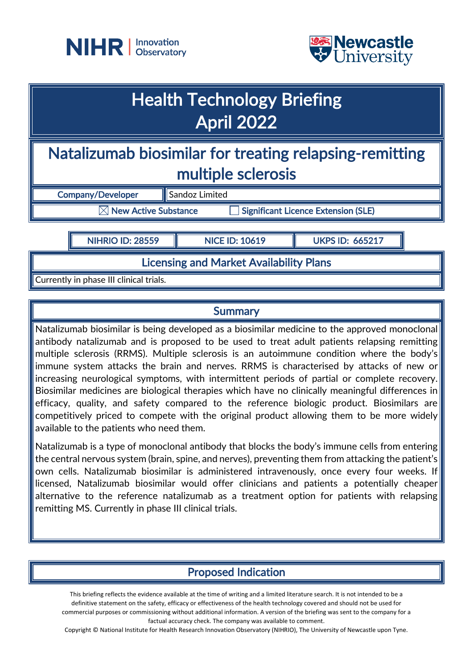



## Health Technology Briefing April 2022

Natalizumab biosimilar for treating relapsing-remitting multiple sclerosis

Company/Developer ||Sandoz Limited  $\boxtimes$  New Active Substance  $\Box$  Significant Licence Extension (SLE)

NIHRIO ID: 28559 **NICE ID: 10619 NICE ID: 065217** 

Licensing and Market Availability Plans

Currently in phase III clinical trials.

### **Summary**

Natalizumab biosimilar is being developed as a biosimilar medicine to the approved monoclonal antibody natalizumab and is proposed to be used to treat adult patients relapsing remitting multiple sclerosis (RRMS). Multiple sclerosis is an autoimmune condition where the body's immune system attacks the brain and nerves. RRMS is characterised by attacks of new or increasing neurological symptoms, with intermittent periods of partial or complete recovery. Biosimilar medicines are biological therapies which have no clinically meaningful differences in efficacy, quality, and safety compared to the reference biologic product. Biosimilars are competitively priced to compete with the original product allowing them to be more widely available to the patients who need them.

Natalizumab is a type of monoclonal antibody that blocks the body's immune cells from entering the central nervous system (brain, spine, and nerves), preventing them from attacking the patient's own cells. Natalizumab biosimilar is administered intravenously, once every four weeks. If licensed, Natalizumab biosimilar would offer clinicians and patients a potentially cheaper alternative to the reference natalizumab as a treatment option for patients with relapsing remitting MS. Currently in phase III clinical trials.

## Proposed Indication

This briefing reflects the evidence available at the time of writing and a limited literature search. It is not intended to be a definitive statement on the safety, efficacy or effectiveness of the health technology covered and should not be used for commercial purposes or commissioning without additional information. A version of the briefing was sent to the company for a factual accuracy check. The company was available to comment.

Copyright © National Institute for Health Research Innovation Observatory (NIHRIO), The University of Newcastle upon Tyne.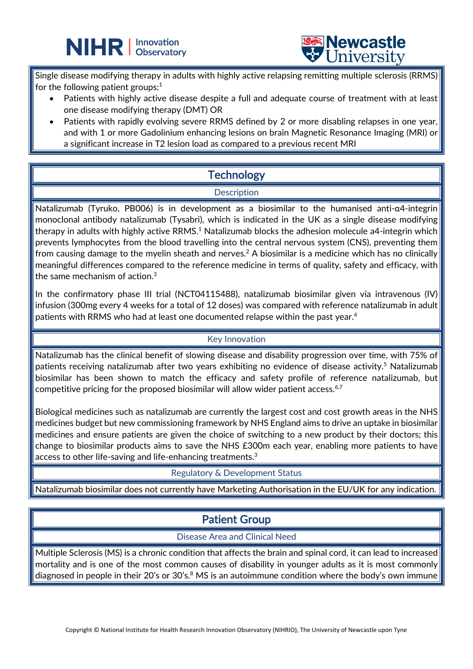



Single disease modifying therapy in adults with highly active relapsing remitting multiple sclerosis (RRMS) for the following patient groups: $1$ 

L

- Patients with highly active disease despite a full and adequate course of treatment with at least one disease modifying therapy (DMT) OR
- Patients with rapidly evolving severe RRMS defined by 2 or more disabling relapses in one year, and with 1 or more Gadolinium enhancing lesions on brain Magnetic Resonance Imaging (MRI) or a significant increase in T2 lesion load as compared to a previous recent MRI

## **Technology**

### **Description**

Natalizumab (Tyruko, PB006) is in development as a biosimilar to the humanised anti-α4-integrin monoclonal antibody natalizumab (Tysabri), which is indicated in the UK as a single disease modifying therapy in adults with highly active RRMS.<sup>1</sup> Natalizumab blocks the adhesion molecule a4-integrin which prevents lymphocytes from the blood travelling into the central nervous system (CNS), preventing them from causing damage to the myelin sheath and nerves.<sup>2</sup> A biosimilar is a medicine which has no clinically meaningful differences compared to the reference medicine in terms of quality, safety and efficacy, with the same mechanism of action.3

In the confirmatory phase III trial (NCT04115488), natalizumab biosimilar given via intravenous (IV) infusion (300mg every 4 weeks for a total of 12 doses) was compared with reference natalizumab in adult patients with RRMS who had at least one documented relapse within the past year.<sup>4</sup>

### Key Innovation

Natalizumab has the clinical benefit of slowing disease and disability progression over time, with 75% of patients receiving natalizumab after two years exhibiting no evidence of disease activity. <sup>5</sup> Natalizumab biosimilar has been shown to match the efficacy and safety profile of reference natalizumab, but competitive pricing for the proposed biosimilar will allow wider patient access. $6,7$ 

Biological medicines such as natalizumab are currently the largest cost and cost growth areas in the NHS medicines budget but new commissioning framework by NHS England aims to drive an uptake in biosimilar medicines and ensure patients are given the choice of switching to a new product by their doctors; this change to biosimilar products aims to save the NHS £300m each year, enabling more patients to have access to other life-saving and life-enhancing treatments.3

Regulatory & Development Status

Natalizumab biosimilar does not currently have Marketing Authorisation in the EU/UK for any indication.

## Patient Group

#### Disease Area and Clinical Need

Multiple Sclerosis (MS) is a chronic condition that affects the brain and spinal cord, it can lead to increased mortality and is one of the most common causes of disability in younger adults as it is most commonly diagnosed in people in their 20's or 30's. $8$  MS is an autoimmune condition where the body's own immune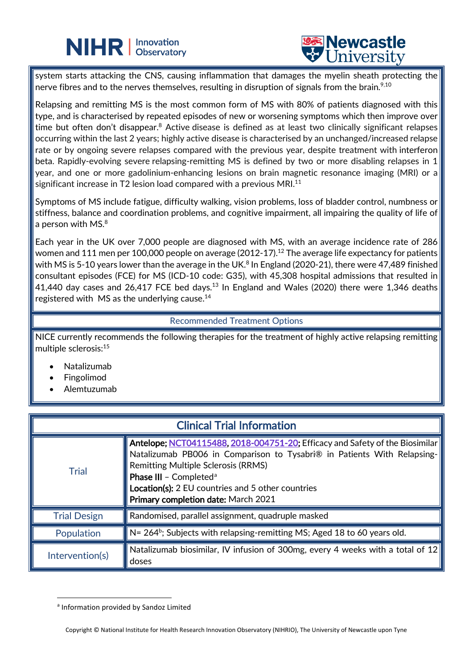# **NIHR** | Innovation



system starts attacking the CNS, causing inflammation that damages the myelin sheath protecting the nerve fibres and to the nerves themselves, resulting in disruption of signals from the brain. $^{\mathrm{9,10}}$ 

L

Relapsing and remitting MS is the most common form of MS with 80% of patients diagnosed with this type, and is characterised by repeated episodes of new or worsening symptoms which then improve over time but often don't disappear.<sup>8</sup> Active disease is defined as at least two clinically significant relapses occurring within the last 2 years; highly active disease is characterised by an unchanged/increased relapse rate or by ongoing severe relapses compared with the previous year, despite treatment with interferon beta. Rapidly-evolving severe relapsing-remitting MS is defined by two or more disabling relapses in 1 year, and one or more gadolinium-enhancing lesions on brain magnetic resonance imaging (MRI) or a significant increase in T2 lesion load compared with a previous MRI.<sup>11</sup>

Symptoms of MS include fatigue, difficulty walking, vision problems, loss of bladder control, numbness or stiffness, balance and coordination problems, and cognitive impairment, all impairing the quality of life of a person with MS. $^8$ 

Each year in the UK over 7,000 people are diagnosed with MS, with an average incidence rate of 286 women and 111 men per 100,000 people on average (2012-17).<sup>12</sup> The average life expectancy for patients with MS is 5-10 years lower than the average in the UK.<sup>8</sup> In England (2020-21), there were 47,489 finished consultant episodes (FCE) for MS (ICD-10 code: G35), with 45,308 hospital admissions that resulted in 41,440 day cases and 26,417 FCE bed days.<sup>13</sup> In England and Wales (2020) there were 1,346 deaths registered with  $\,$  MS as the underlying cause. $^{14}$ 

#### Recommended Treatment Options

NICE currently recommends the following therapies for the treatment of highly active relapsing remitting multiple sclerosis: 15

- Natalizumab
- **Fingolimod**
- Alemtuzumab

| <b>Clinical Trial Information</b> |                                                                                                                                                                                                                                                                                                                                                                      |  |
|-----------------------------------|----------------------------------------------------------------------------------------------------------------------------------------------------------------------------------------------------------------------------------------------------------------------------------------------------------------------------------------------------------------------|--|
| <b>Trial</b>                      | <b>Antelope; <u>NCT04115488, 2018-004751-20</u>;</b> Efficacy and Safety of the Biosimilar  <br>Natalizumab PB006 in Comparison to Tysabri® in Patients With Relapsing- $\mid$<br><b>Remitting Multiple Sclerosis (RRMS)</b><br><b>Phase III - Completed<sup>a</sup></b><br>Location(s): 2 EU countries and 5 other countries<br>Primary completion date: March 2021 |  |
| <b>Trial Design</b>               | Randomised, parallel assignment, quadruple masked                                                                                                                                                                                                                                                                                                                    |  |
| Population                        | $\mathbb N$ = 264 <sup>b</sup> ; Subjects with relapsing-remitting MS; Aged 18 to 60 years old.                                                                                                                                                                                                                                                                      |  |
| Intervention(s)                   | Natalizumab biosimilar, IV infusion of 300mg, every 4 weeks with a total of 12<br>doses                                                                                                                                                                                                                                                                              |  |

<span id="page-2-0"></span><sup>a</sup> Information provided by Sandoz Limited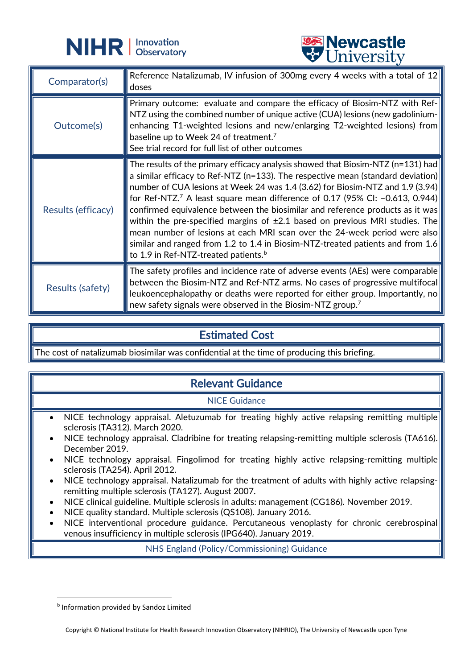



|                    | <b>A</b> CITTACTOTA                                                                                                                                                                                                                                                                                                                                                                                                                                                                                                                                                                                                                                                                                                                                    |
|--------------------|--------------------------------------------------------------------------------------------------------------------------------------------------------------------------------------------------------------------------------------------------------------------------------------------------------------------------------------------------------------------------------------------------------------------------------------------------------------------------------------------------------------------------------------------------------------------------------------------------------------------------------------------------------------------------------------------------------------------------------------------------------|
| Comparator(s)      | Reference Natalizumab, IV infusion of 300mg every 4 weeks with a total of $12$<br>doses                                                                                                                                                                                                                                                                                                                                                                                                                                                                                                                                                                                                                                                                |
| Outcome(s)         | Primary outcome: evaluate and compare the efficacy of Biosim-NTZ with Ref-<br>NTZ using the combined number of unique active (CUA) lesions (new gadolinium-<br>enhancing T1-weighted lesions and new/enlarging T2-weighted lesions) from<br>baseline up to Week 24 of treatment. <sup>7</sup><br>See trial record for full list of other outcomes                                                                                                                                                                                                                                                                                                                                                                                                      |
| Results (efficacy) | The results of the primary efficacy analysis showed that Biosim-NTZ (n=131) had $\parallel$<br>a similar efficacy to Ref-NTZ (n=133). The respective mean (standard deviation)<br>number of CUA lesions at Week 24 was 1.4 (3.62) for Biosim-NTZ and 1.9 (3.94)<br>for Ref-NTZ. <sup>7</sup> A least square mean difference of 0.17 (95% CI: -0.613, 0.944)<br>confirmed equivalence between the biosimilar and reference products as it was<br>within the pre-specified margins of $\pm 2.1$ based on previous MRI studies. The<br>mean number of lesions at each MRI scan over the 24-week period were also<br>similar and ranged from 1.2 to 1.4 in Biosim-NTZ-treated patients and from 1.6<br>$\ $ to 1.9 in Ref-NTZ-treated patients. $^{\rm b}$ |
| Results (safety)   | The safety profiles and incidence rate of adverse events (AEs) were comparable $\parallel$<br>between the Biosim-NTZ and Ref-NTZ arms. No cases of progressive multifocal<br>leukoencephalopathy or deaths were reported for either group. Importantly, no<br>new safety signals were observed in the Biosim-NTZ group. <sup>7</sup>                                                                                                                                                                                                                                                                                                                                                                                                                   |

## Estimated Cost

The cost of natalizumab biosimilar was confidential at the time of producing this briefing.

## Relevant Guidance

NICE Guidance

- NICE technology appraisal. Aletuzumab for treating highly active relapsing remitting multiple sclerosis (TA312). March 2020.
- NICE technology appraisal. Cladribine for treating relapsing-remitting multiple sclerosis (TA616). December 2019.
- NICE technology appraisal. Fingolimod for treating highly active relapsing-remitting multiple sclerosis (TA254). April 2012.
- NICE technology appraisal. Natalizumab for the treatment of adults with highly active relapsingremitting multiple sclerosis (TA127). August 2007.
- NICE clinical guideline. Multiple sclerosis in adults: management (CG186). November 2019.
- NICE quality standard. Multiple sclerosis (QS108). January 2016.
- NICE interventional procedure guidance. Percutaneous venoplasty for chronic cerebrospinal venous insufficiency in multiple sclerosis (IPG640). January 2019.

NHS England (Policy/Commissioning) Guidance

<span id="page-3-0"></span>**b** Information provided by Sandoz Limited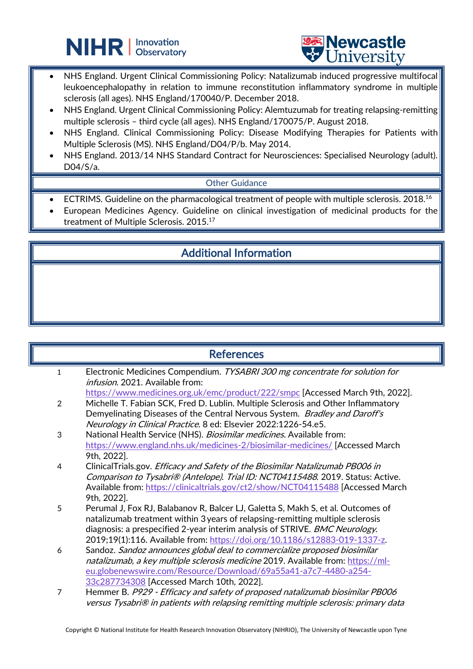



NHS England. Urgent Clinical Commissioning Policy: Natalizumab induced progressive multifocal leukoencephalopathy in relation to immune reconstitution inflammatory syndrome in multiple sclerosis (all ages). NHS England/170040/P. December 2018.

L

- NHS England. Urgent Clinical Commissioning Policy: Alemtuzumab for treating relapsing-remitting multiple sclerosis – third cycle (all ages). NHS England/170075/P. August 2018.
- NHS England. Clinical Commissioning Policy: Disease Modifying Therapies for Patients with Multiple Sclerosis (MS). NHS England/D04/P/b. May 2014.
- NHS England. 2013/14 NHS Standard Contract for Neurosciences: Specialised Neurology (adult). D04/S/a.

### Other Guidance

- ECTRIMS. Guideline on the pharmacological treatment of people with multiple sclerosis. 2018.16
- European Medicines Agency. Guideline on clinical investigation of medicinal products for the treatment of Multiple Sclerosis. 2015.17

## Additional Information

### **References**

- 1 Electronic Medicines Compendium. TYSABRI 300 mg concentrate for solution for infusion. 2021. Available from:
- <https://www.medicines.org.uk/emc/product/222/smpc> [Accessed March 9th, 2022]. 2 Michelle T. Fabian SCK, Fred D. Lublin. Multiple Sclerosis and Other Inflammatory
- Demyelinating Diseases of the Central Nervous System. Bradley and Daroff's Neurology in Clinical Practice. 8 ed: Elsevier 2022:1226-54.e5.
- 3 National Health Service (NHS). Biosimilar medicines. Available from: <https://www.england.nhs.uk/medicines-2/biosimilar-medicines/> [Accessed March 9th, 2022].
- 4 ClinicalTrials.gov. Efficacy and Safety of the Biosimilar Natalizumab PB006 in Comparison to Tysabri® (Antelope). Trial ID: NCT04115488. 2019. Status: Active. Available from: <https://clinicaltrials.gov/ct2/show/NCT04115488> [Accessed March 9th, 2022].
- 5 Perumal J, Fox RJ, Balabanov R, Balcer LJ, Galetta S, Makh S, et al. Outcomes of natalizumab treatment within 3 years of relapsing-remitting multiple sclerosis diagnosis: a prespecified 2-year interim analysis of STRIVE. BMC Neurology. 2019;19(1):116. Available from: [https://doi.org/10.1186/s12883-019-1337-z.](https://doi.org/10.1186/s12883-019-1337-z)
- 6 Sandoz. Sandoz announces global deal to commercialize proposed biosimilar natalizumab, a key multiple sclerosis medicine 2019. Available from: [https://ml](https://ml-eu.globenewswire.com/Resource/Download/69a55a41-a7c7-4480-a254-33c287734308)[eu.globenewswire.com/Resource/Download/69a55a41](https://ml-eu.globenewswire.com/Resource/Download/69a55a41-a7c7-4480-a254-33c287734308)-a7c7-4480-a254- [33c287734308](https://ml-eu.globenewswire.com/Resource/Download/69a55a41-a7c7-4480-a254-33c287734308) [Accessed March 10th, 2022].
- 7 Hemmer B. P929 Efficacy and safety of proposed natalizumab biosimilar PB006 versus Tysabri® in patients with relapsing remitting multiple sclerosis: primary data